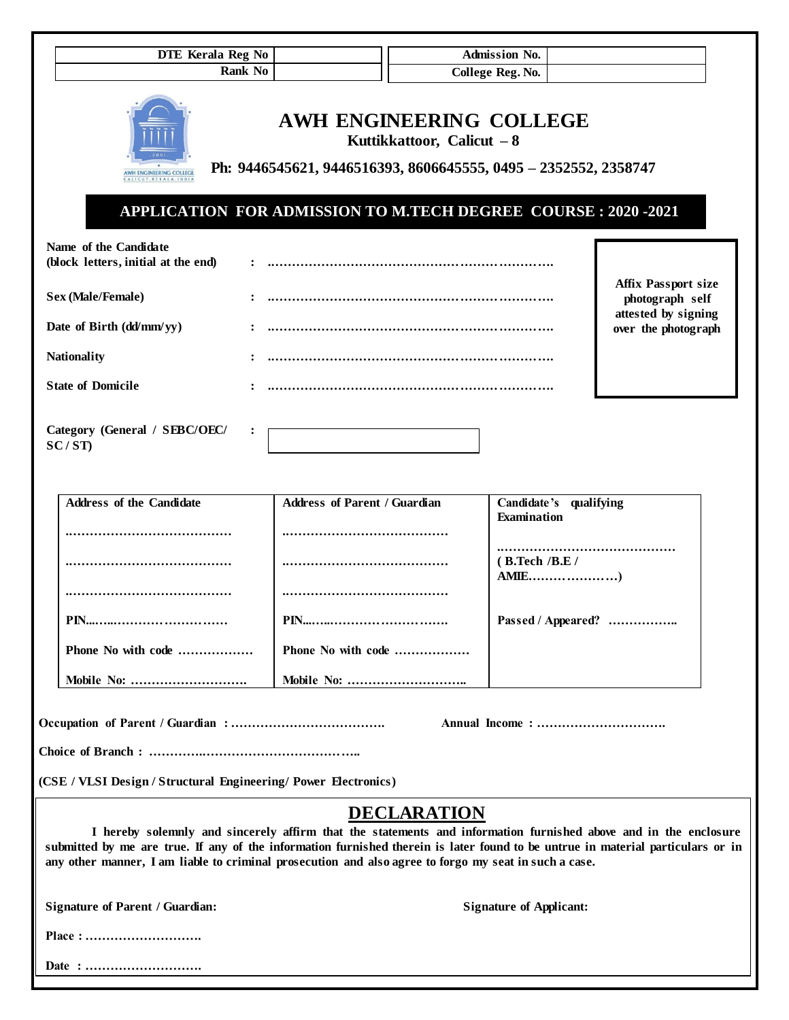| DTE Kerala Reg No                                                                                                                                                                                                                        |                                                                                                                                                                                                   | Admission No.                         |                                               |
|------------------------------------------------------------------------------------------------------------------------------------------------------------------------------------------------------------------------------------------|---------------------------------------------------------------------------------------------------------------------------------------------------------------------------------------------------|---------------------------------------|-----------------------------------------------|
| <b>Rank No</b>                                                                                                                                                                                                                           |                                                                                                                                                                                                   | College Reg. No.                      |                                               |
| AWH ENGINEERING COLLEGI<br>ALICUT. KERALA. INDI                                                                                                                                                                                          | AWH ENGINEERING COLLEGE<br>Kuttikkattoor, Calicut $-8$<br>Ph: 9446545621, 9446516393, 8606645555, 0495 - 2352552, 2358747<br><b>APPLICATION FOR ADMISSION TO M.TECH DEGREE COURSE: 2020 -2021</b> |                                       |                                               |
| Name of the Candidate<br>(block letters, initial at the end)                                                                                                                                                                             |                                                                                                                                                                                                   |                                       |                                               |
| Sex (Male/Female)                                                                                                                                                                                                                        |                                                                                                                                                                                                   |                                       | <b>Affix Passport size</b><br>photograph self |
| Date of Birth (dd/mm/yy)                                                                                                                                                                                                                 |                                                                                                                                                                                                   |                                       | attested by signing<br>over the photograph    |
| <b>Nationality</b>                                                                                                                                                                                                                       |                                                                                                                                                                                                   |                                       |                                               |
| <b>State of Domicile</b>                                                                                                                                                                                                                 |                                                                                                                                                                                                   |                                       |                                               |
| Category (General / SEBC/OEC/<br>SC/ST                                                                                                                                                                                                   |                                                                                                                                                                                                   |                                       |                                               |
| <b>Address of the Candidate</b>                                                                                                                                                                                                          | <b>Address of Parent / Guardian</b>                                                                                                                                                               | Candidate's qualifying<br>Examination |                                               |
|                                                                                                                                                                                                                                          |                                                                                                                                                                                                   | (B.Tech /B.E /                        |                                               |
|                                                                                                                                                                                                                                          |                                                                                                                                                                                                   | Passed / Appeared?                    |                                               |
| Phone No with code                                                                                                                                                                                                                       | Phone No with code                                                                                                                                                                                |                                       |                                               |
| Mobile No:                                                                                                                                                                                                                               |                                                                                                                                                                                                   |                                       |                                               |
|                                                                                                                                                                                                                                          |                                                                                                                                                                                                   |                                       |                                               |
| (CSE / VLSI Design / Structural Engineering/ Power Electronics)                                                                                                                                                                          |                                                                                                                                                                                                   |                                       |                                               |
| submitted by me are true. If any of the information furnished therein is later found to be untrue in material particulars or in<br>any other manner, I am liable to criminal prosecution and also agree to forgo my seat in such a case. | <b>DECLARATION</b><br>I hereby solemnly and sincerely affirm that the statements and information furnished above and in the enclosure                                                             |                                       |                                               |
| <b>Signature of Parent / Guardian:</b>                                                                                                                                                                                                   |                                                                                                                                                                                                   | <b>Signature of Applicant:</b>        |                                               |
|                                                                                                                                                                                                                                          |                                                                                                                                                                                                   |                                       |                                               |
| Date :                                                                                                                                                                                                                                   |                                                                                                                                                                                                   |                                       |                                               |